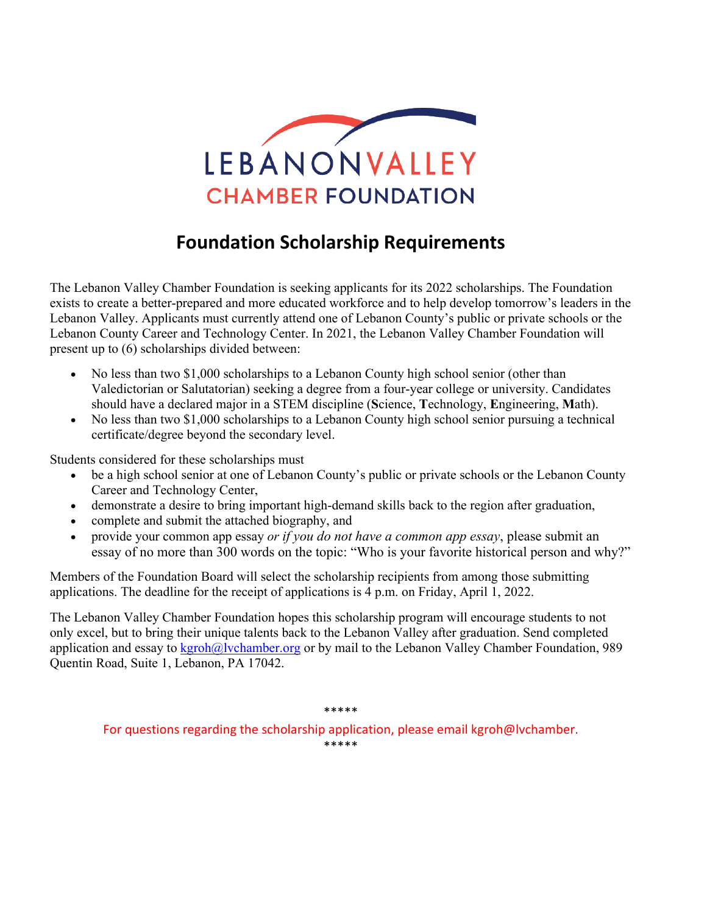

## **Foundation Scholarship Requirements**

The Lebanon Valley Chamber Foundation is seeking applicants for its 2022 scholarships. The Foundation exists to create a better-prepared and more educated workforce and to help develop tomorrow's leaders in the Lebanon Valley. Applicants must currently attend one of Lebanon County's public or private schools or the Lebanon County Career and Technology Center. In 2021, the Lebanon Valley Chamber Foundation will present up to (6) scholarships divided between:

- No less than two \$1,000 scholarships to a Lebanon County high school senior (other than Valedictorian or Salutatorian) seeking a degree from a four-year college or university. Candidates should have a declared major in a STEM discipline (**S**cience, **T**echnology, **E**ngineering, **M**ath).
- No less than two \$1,000 scholarships to a Lebanon County high school senior pursuing a technical certificate/degree beyond the secondary level.

Students considered for these scholarships must

- be a high school senior at one of Lebanon County's public or private schools or the Lebanon County Career and Technology Center,
- demonstrate a desire to bring important high-demand skills back to the region after graduation,
- complete and submit the attached biography, and
- provide your common app essay *or if you do not have a common app essay*, please submit an essay of no more than 300 words on the topic: "Who is your favorite historical person and why?"

Members of the Foundation Board will select the scholarship recipients from among those submitting applications. The deadline for the receipt of applications is 4 p.m. on Friday, April 1, 2022.

The Lebanon Valley Chamber Foundation hopes this scholarship program will encourage students to not only excel, but to bring their unique talents back to the Lebanon Valley after graduation. Send completed application and essay to  $\frac{\text{kgroh@lvchamber.org}}{\text{kgroh@lvchamber.org}}$  or by mail to the Lebanon Valley Chamber Foundation, 989 Quentin Road, Suite 1, Lebanon, PA 17042.

\*\*\*\*\*

For questions regarding the scholarship application, please email kgroh@lvchamber. \*\*\*\*\*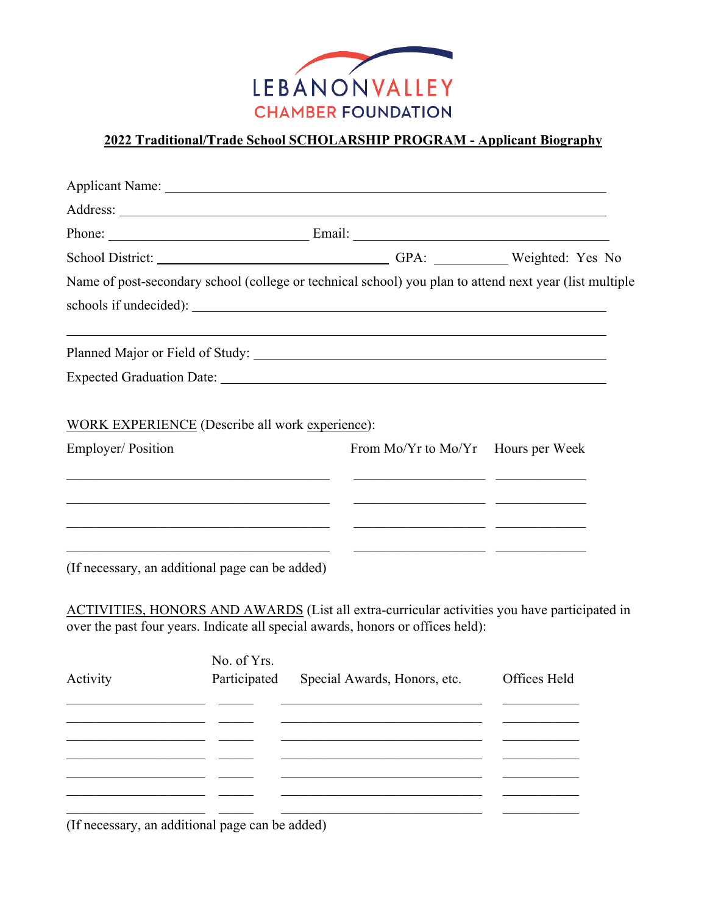

## **2022 Traditional/Trade School SCHOLARSHIP PROGRAM - Applicant Biography**

|                   |                                                                                                                       | School District: Change of GPA: Change of GPA: Weighted: Yes No                                                       |              |  |
|-------------------|-----------------------------------------------------------------------------------------------------------------------|-----------------------------------------------------------------------------------------------------------------------|--------------|--|
|                   |                                                                                                                       | Name of post-secondary school (college or technical school) you plan to attend next year (list multiple               |              |  |
|                   |                                                                                                                       |                                                                                                                       |              |  |
|                   |                                                                                                                       |                                                                                                                       |              |  |
|                   |                                                                                                                       |                                                                                                                       |              |  |
|                   | <b>WORK EXPERIENCE</b> (Describe all work experience):                                                                |                                                                                                                       |              |  |
| Employer/Position |                                                                                                                       | From Mo/Yr to Mo/Yr Hours per Week                                                                                    |              |  |
|                   | <u> 1980 - Jan Stein, Amerikaansk politiker († 1908)</u>                                                              | <u> 1999 - Johann John Stein, fransk politik (* 1908)</u>                                                             |              |  |
|                   | <u> 1989 - Johann John Stein, mars eta bainar eta bainar eta bainar eta baina eta baina eta baina eta baina eta b</u> | <u> 1989 - Johann John Harry Hermann (b. 1989)</u>                                                                    |              |  |
|                   |                                                                                                                       | <u> 1989 - Johann John Stein, fransk politik (* 1908)</u>                                                             |              |  |
|                   |                                                                                                                       | <u> 2000 - Jan James James James James James James James James James James James James James James James James Ja</u> |              |  |
|                   | (If necessary, an additional page can be added)                                                                       |                                                                                                                       |              |  |
|                   |                                                                                                                       | ACTIVITIES, HONORS AND AWARDS (List all extra-curricular activities you have participated in                          |              |  |
|                   |                                                                                                                       | over the past four years. Indicate all special awards, honors or offices held):                                       |              |  |
|                   | No. of Yrs.                                                                                                           |                                                                                                                       |              |  |
| Activity          | Participated                                                                                                          | Special Awards, Honors, etc.                                                                                          | Offices Held |  |
|                   |                                                                                                                       |                                                                                                                       |              |  |
|                   |                                                                                                                       |                                                                                                                       |              |  |
|                   |                                                                                                                       |                                                                                                                       |              |  |
|                   |                                                                                                                       |                                                                                                                       |              |  |
|                   |                                                                                                                       |                                                                                                                       |              |  |

(If necessary, an additional page can be added)